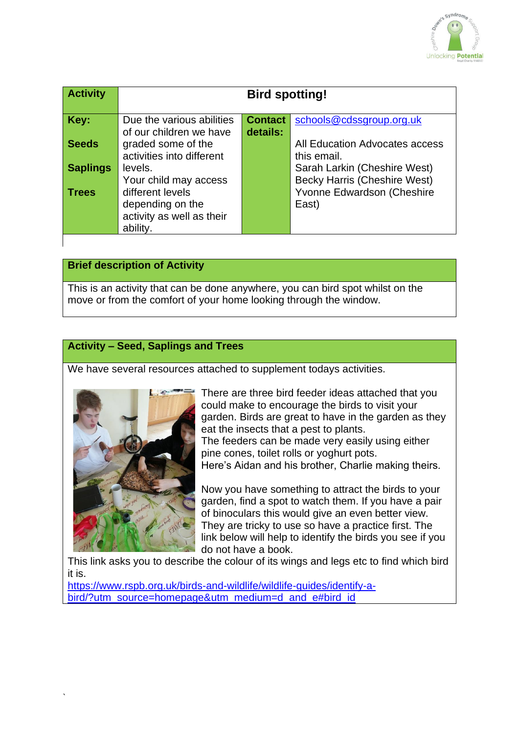

| <b>Activity</b> | <b>Bird spotting!</b>                                                      |                |                                                                            |
|-----------------|----------------------------------------------------------------------------|----------------|----------------------------------------------------------------------------|
| Key:            | Due the various abilities                                                  | <b>Contact</b> | schools@cdssgroup.org.uk                                                   |
| <b>Seeds</b>    | of our children we have<br>graded some of the<br>activities into different | details:       | All Education Advocates access<br>this email.                              |
| <b>Saplings</b> | levels.                                                                    |                | Sarah Larkin (Cheshire West)                                               |
| <b>Trees</b>    | Your child may access<br>different levels<br>depending on the              |                | <b>Becky Harris (Cheshire West)</b><br>Yvonne Edwardson (Cheshire<br>East) |
|                 | activity as well as their<br>ability.                                      |                |                                                                            |

## **Brief description of Activity**

This is an activity that can be done anywhere, you can bird spot whilst on the move or from the comfort of your home looking through the window.

## **Activity – Seed, Saplings and Trees**

We have several resources attached to supplement todays activities.



`

There are three bird feeder ideas attached that you could make to encourage the birds to visit your garden. Birds are great to have in the garden as they eat the insects that a pest to plants. The feeders can be made very easily using either pine cones, toilet rolls or yoghurt pots. Here's Aidan and his brother, Charlie making theirs.

Now you have something to attract the birds to your garden, find a spot to watch them. If you have a pair of binoculars this would give an even better view. They are tricky to use so have a practice first. The link below will help to identify the birds you see if you do not have a book.

This link asks you to describe the colour of its wings and legs etc to find which bird it is.

[https://www.rspb.org.uk/birds-and-wildlife/wildlife-guides/identify-a](https://www.rspb.org.uk/birds-and-wildlife/wildlife-guides/identify-a-bird/?utm_source=homepage&utm_medium=d_and_e#bird_id)[bird/?utm\\_source=homepage&utm\\_medium=d\\_and\\_e#bird\\_id](https://www.rspb.org.uk/birds-and-wildlife/wildlife-guides/identify-a-bird/?utm_source=homepage&utm_medium=d_and_e#bird_id)